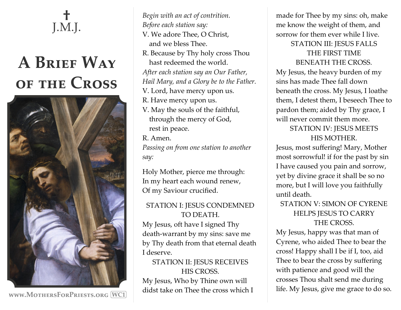# **†**  J.M.J.

# **A Brief Way of the Cross**



**www.MothersForPriests.org WC1**

*Begin with an act of contrition. Before each station say:* V. We adore Thee, O Christ, and we bless Thee. R. Because by Thy holy cross Thou hast redeemed the world. *After each station say an Our Father, Hail Mary, and a Glory be to the Father.* V. Lord, have mercy upon us. R. Have mercy upon us. V. May the souls of the faithful, through the mercy of God, rest in peace.

R. Amen.

*Passing on from one station to another say:*

Holy Mother, pierce me through: In my heart each wound renew, Of my Saviour crucified.

#### STATION I: JESUS CONDEMNED TO DEATH.

My Jesus, oft have I signed Thy death-warrant by my sins: save me by Thy death from that eternal death I deserve.

# STATION II: JESUS RECEIVES HIS CROSS.

My Jesus, Who by Thine own will didst take on Thee the cross which I made for Thee by my sins: oh, make me know the weight of them, and sorrow for them ever while I live. STATION III: JESUS FALLS

## THE FIRST TIME BENEATH THE CROSS.

My Jesus, the heavy burden of my sins has made Thee fall down beneath the cross. My Jesus, I loathe them, I detest them, I beseech Thee to pardon them; aided by Thy grace, I will never commit them more.

# STATION IV: JESUS MEETS HIS MOTHER.

Jesus, most suffering! Mary, Mother most sorrowful! if for the past by sin I have caused you pain and sorrow, yet by divine grace it shall be so no more, but I will love you faithfully until death.

## STATION V: SIMON OF CYRENE HELPS JESUS TO CARRY THE CROSS.

My Jesus, happy was that man of Cyrene, who aided Thee to bear the cross! Happy shall I be if I, too, aid Thee to bear the cross by suffering with patience and good will the crosses Thou shalt send me during life. My Jesus, give me grace to do so.